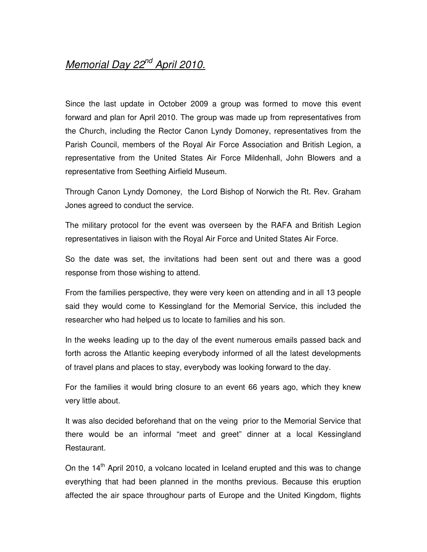## Memorial Day 22<sup>nd</sup> April 2010.

Since the last update in October 2009 a group was formed to move this event forward and plan for April 2010. The group was made up from representatives from the Church, including the Rector Canon Lyndy Domoney, representatives from the Parish Council, members of the Royal Air Force Association and British Legion, a representative from the United States Air Force Mildenhall, John Blowers and a representative from Seething Airfield Museum.

Through Canon Lyndy Domoney, the Lord Bishop of Norwich the Rt. Rev. Graham Jones agreed to conduct the service.

The military protocol for the event was overseen by the RAFA and British Legion representatives in liaison with the Royal Air Force and United States Air Force.

So the date was set, the invitations had been sent out and there was a good response from those wishing to attend.

From the families perspective, they were very keen on attending and in all 13 people said they would come to Kessingland for the Memorial Service, this included the researcher who had helped us to locate to families and his son.

In the weeks leading up to the day of the event numerous emails passed back and forth across the Atlantic keeping everybody informed of all the latest developments of travel plans and places to stay, everybody was looking forward to the day.

For the families it would bring closure to an event 66 years ago, which they knew very little about.

It was also decided beforehand that on the veing prior to the Memorial Service that there would be an informal "meet and greet" dinner at a local Kessingland Restaurant.

On the 14<sup>th</sup> April 2010, a volcano located in Iceland erupted and this was to change everything that had been planned in the months previous. Because this eruption affected the air space throughour parts of Europe and the United Kingdom, flights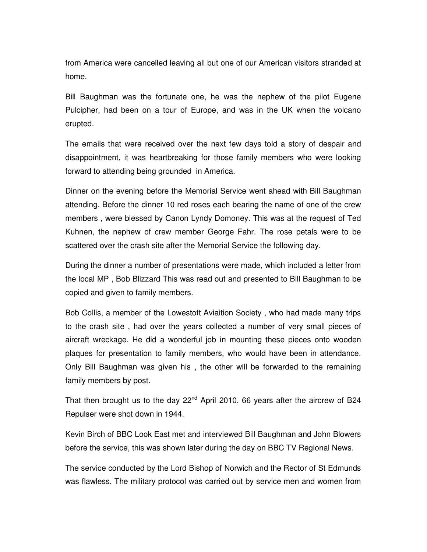from America were cancelled leaving all but one of our American visitors stranded at home.

Bill Baughman was the fortunate one, he was the nephew of the pilot Eugene Pulcipher, had been on a tour of Europe, and was in the UK when the volcano erupted.

The emails that were received over the next few days told a story of despair and disappointment, it was heartbreaking for those family members who were looking forward to attending being grounded in America.

Dinner on the evening before the Memorial Service went ahead with Bill Baughman attending. Before the dinner 10 red roses each bearing the name of one of the crew members , were blessed by Canon Lyndy Domoney. This was at the request of Ted Kuhnen, the nephew of crew member George Fahr. The rose petals were to be scattered over the crash site after the Memorial Service the following day.

During the dinner a number of presentations were made, which included a letter from the local MP , Bob Blizzard This was read out and presented to Bill Baughman to be copied and given to family members.

Bob Collis, a member of the Lowestoft Aviaition Society , who had made many trips to the crash site , had over the years collected a number of very small pieces of aircraft wreckage. He did a wonderful job in mounting these pieces onto wooden plaques for presentation to family members, who would have been in attendance. Only Bill Baughman was given his , the other will be forwarded to the remaining family members by post.

That then brought us to the day  $22^{nd}$  April 2010, 66 years after the aircrew of B24 Repulser were shot down in 1944.

Kevin Birch of BBC Look East met and interviewed Bill Baughman and John Blowers before the service, this was shown later during the day on BBC TV Regional News.

The service conducted by the Lord Bishop of Norwich and the Rector of St Edmunds was flawless. The military protocol was carried out by service men and women from